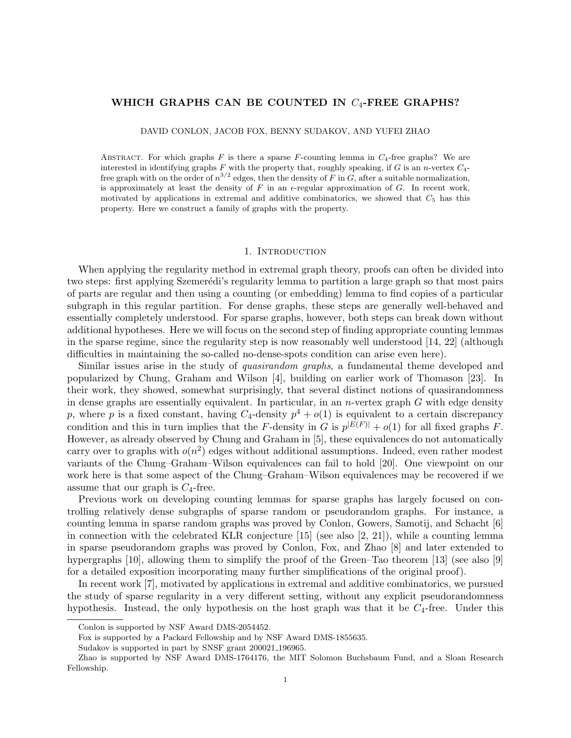# WHICH GRAPHS CAN BE COUNTED IN  $C_4$ -FREE GRAPHS?

DAVID CONLON, JACOB FOX, BENNY SUDAKOV, AND YUFEI ZHAO

ABSTRACT. For which graphs F is there a sparse F-counting lemma in  $C_4$ -free graphs? We are interested in identifying graphs F with the property that, roughly speaking, if G is an n-vertex  $C_4$ free graph with on the order of  $n^{3/2}$  edges, then the density of F in G, after a suitable normalization, is approximately at least the density of F in an  $\epsilon$ -regular approximation of G. In recent work, motivated by applications in extremal and additive combinatorics, we showed that  $C_5$  has this property. Here we construct a family of graphs with the property.

# 1. INTRODUCTION

When applying the regularity method in extremal graph theory, proofs can often be divided into two steps: first applying Szemerédi's regularity lemma to partition a large graph so that most pairs of parts are regular and then using a counting (or embedding) lemma to find copies of a particular subgraph in this regular partition. For dense graphs, these steps are generally well-behaved and essentially completely understood. For sparse graphs, however, both steps can break down without additional hypotheses. Here we will focus on the second step of finding appropriate counting lemmas in the sparse regime, since the regularity step is now reasonably well understood [\[14,](#page-11-0) [22\]](#page-12-0) (although difficulties in maintaining the so-called no-dense-spots condition can arise even here).

Similar issues arise in the study of quasirandom graphs, a fundamental theme developed and popularized by Chung, Graham and Wilson [\[4\]](#page-11-1), building on earlier work of Thomason [\[23\]](#page-12-1). In their work, they showed, somewhat surprisingly, that several distinct notions of quasirandomness in dense graphs are essentially equivalent. In particular, in an n-vertex graph  $G$  with edge density p, where p is a fixed constant, having  $C_4$ -density  $p^4 + o(1)$  is equivalent to a certain discrepancy condition and this in turn implies that the F-density in G is  $p^{|E(F)|} + o(1)$  for all fixed graphs F. However, as already observed by Chung and Graham in [\[5\]](#page-11-2), these equivalences do not automatically carry over to graphs with  $o(n^2)$  edges without additional assumptions. Indeed, even rather modest variants of the Chung–Graham–Wilson equivalences can fail to hold [\[20\]](#page-12-2). One viewpoint on our work here is that some aspect of the Chung–Graham–Wilson equivalences may be recovered if we assume that our graph is  $C_4$ -free.

Previous work on developing counting lemmas for sparse graphs has largely focused on controlling relatively dense subgraphs of sparse random or pseudorandom graphs. For instance, a counting lemma in sparse random graphs was proved by Conlon, Gowers, Samotij, and Schacht [\[6\]](#page-11-3) in connection with the celebrated KLR conjecture  $[15]$  (see also  $[2, 21]$  $[2, 21]$ ), while a counting lemma in sparse pseudorandom graphs was proved by Conlon, Fox, and Zhao [\[8\]](#page-11-5) and later extended to hypergraphs [\[10\]](#page-11-6), allowing them to simplify the proof of the Green–Tao theorem [\[13\]](#page-11-7) (see also [\[9\]](#page-11-8) for a detailed exposition incorporating many further simplifications of the original proof).

In recent work [\[7\]](#page-11-9), motivated by applications in extremal and additive combinatorics, we pursued the study of sparse regularity in a very different setting, without any explicit pseudorandomness hypothesis. Instead, the only hypothesis on the host graph was that it be  $C_4$ -free. Under this

Conlon is supported by NSF Award DMS-2054452.

Fox is supported by a Packard Fellowship and by NSF Award DMS-1855635.

Sudakov is supported in part by SNSF grant 200021 196965.

Zhao is supported by NSF Award DMS-1764176, the MIT Solomon Buchsbaum Fund, and a Sloan Research Fellowship.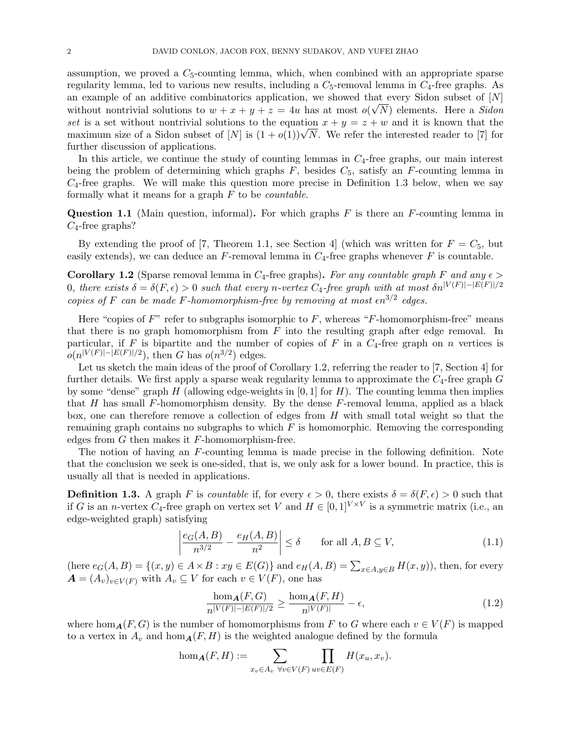assumption, we proved a  $C_5$ -counting lemma, which, when combined with an appropriate sparse regularity lemma, led to various new results, including a  $C_5$ -removal lemma in  $C_4$ -free graphs. As an example of an additive combinatorics application, we showed that every Sidon subset of  $[N]$ without nontrivial solutions to  $w + x + y + z = 4u$  has at most  $o(\sqrt{N})$  elements. Here a Sidon set is a set without nontrivial solutions to the equation  $x + y = z + w$  and it is known that the set is a set without nontrivial solutions to the equation  $x + y = z + w$  and it is known that the maximum size of a Sidon subset of  $[N]$  is  $(1 + o(1))\sqrt{N}$ . We refer the interested reader to [\[7\]](#page-11-9) for further discussion of applications.

In this article, we continue the study of counting lemmas in  $C_4$ -free graphs, our main interest being the problem of determining which graphs  $F$ , besides  $C_5$ , satisfy an  $F$ -counting lemma in  $C_4$ -free graphs. We will make this question more precise in Definition [1.3](#page-1-0) below, when we say formally what it means for a graph  $F$  to be *countable*.

<span id="page-1-4"></span>**Question 1.1** (Main question, informal). For which graphs  $F$  is there an  $F$ -counting lemma in  $C_4$ -free graphs?

By extending the proof of [\[7,](#page-11-9) Theorem 1.1, see Section 4] (which was written for  $F = C_5$ , but easily extends), we can deduce an  $F$ -removal lemma in  $C_4$ -free graphs whenever  $F$  is countable.

<span id="page-1-1"></span>Corollary 1.2 (Sparse removal lemma in C<sub>4</sub>-free graphs). For any countable graph F and any  $\epsilon$ 0, there exists  $\delta = \delta(F, \epsilon) > 0$  such that every n-vertex C<sub>4</sub>-free graph with at most  $\delta n^{|V(F)| - |E(F)|/2}$ copies of F can be made F-homomorphism-free by removing at most  $\epsilon n^{3/2}$  edges.

Here "copies of  $F$ " refer to subgraphs isomorphic to  $F$ , whereas "F-homomorphism-free" means that there is no graph homomorphism from  $F$  into the resulting graph after edge removal. In particular, if F is bipartite and the number of copies of F in a  $C_4$ -free graph on n vertices is  $o(n^{|V(F)|-|E(F)|/2})$ , then G has  $o(n^{3/2})$  edges.

Let us sketch the main ideas of the proof of Corollary [1.2,](#page-1-1) referring the reader to [\[7,](#page-11-9) Section 4] for further details. We first apply a sparse weak regularity lemma to approximate the  $C_4$ -free graph  $G$ by some "dense" graph H (allowing edge-weights in  $[0, 1]$  for H). The counting lemma then implies that H has small F-homomorphism density. By the dense F-removal lemma, applied as a black box, one can therefore remove a collection of edges from  $H$  with small total weight so that the remaining graph contains no subgraphs to which  $F$  is homomorphic. Removing the corresponding edges from  $G$  then makes it  $F$ -homomorphism-free.

The notion of having an F-counting lemma is made precise in the following definition. Note that the conclusion we seek is one-sided, that is, we only ask for a lower bound. In practice, this is usually all that is needed in applications.

<span id="page-1-0"></span>**Definition 1.3.** A graph F is countable if, for every  $\epsilon > 0$ , there exists  $\delta = \delta(F, \epsilon) > 0$  such that if G is an *n*-vertex  $C_4$ -free graph on vertex set V and  $H \in [0,1]^{V \times V}$  is a symmetric matrix (i.e., an edge-weighted graph) satisfying

<span id="page-1-2"></span>
$$
\left| \frac{e_G(A, B)}{n^{3/2}} - \frac{e_H(A, B)}{n^2} \right| \le \delta \qquad \text{for all } A, B \subseteq V,
$$
\n(1.1)

(here  $e_G(A, B) = \{(x, y) \in A \times B : xy \in E(G)\}\$  and  $e_H(A, B) = \sum_{x \in A, y \in B} H(x, y)$ ), then, for every  $\mathbf{A} = (A_v)_{v \in V(F)}$  with  $A_v \subseteq V$  for each  $v \in V(F)$ , one has

<span id="page-1-3"></span>
$$
\frac{\hom_{\mathbf{A}}(F,G)}{n^{|V(F)|-|E(F)|/2}} \ge \frac{\hom_{\mathbf{A}}(F,H)}{n^{|V(F)|}} - \epsilon,\tag{1.2}
$$

where hom<sub>A</sub>(F, G) is the number of homomorphisms from F to G where each  $v \in V(F)$  is mapped to a vertex in  $A_v$  and hom $_A(F, H)$  is the weighted analogue defined by the formula

$$
\hom_{\mathbf{A}}(F, H) := \sum_{x_v \in A_v} \prod_{\forall v \in V(F)} \prod_{uv \in E(F)} H(x_u, x_v).
$$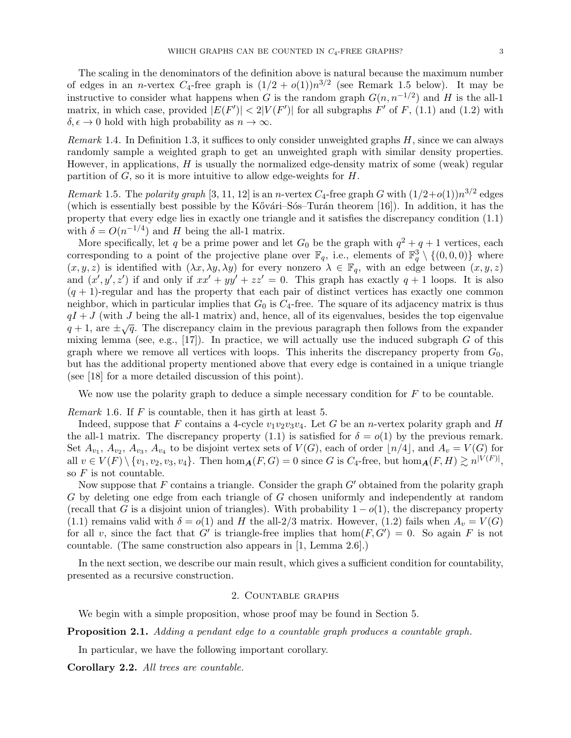The scaling in the denominators of the definition above is natural because the maximum number of edges in an *n*-vertex  $C_4$ -free graph is  $(1/2 + o(1))n^{3/2}$  (see Remark [1.5](#page-2-0) below). It may be instructive to consider what happens when G is the random graph  $G(n, n^{-1/2})$  and H is the all-1 matrix, in which case, provided  $|E(F')| < 2|V(F')|$  for all subgraphs  $F'$  of  $F$ , [\(1.1\)](#page-1-2) and [\(1.2\)](#page-1-3) with  $\delta, \epsilon \to 0$  hold with high probability as  $n \to \infty$ .

Remark 1.4. In Definition [1.3,](#page-1-0) it suffices to only consider unweighted graphs  $H$ , since we can always randomly sample a weighted graph to get an unweighted graph with similar density properties. However, in applications,  $H$  is usually the normalized edge-density matrix of some (weak) regular partition of  $G$ , so it is more intuitive to allow edge-weights for  $H$ .

<span id="page-2-0"></span>Remark 1.5. The polarity graph [\[3,](#page-11-10) [11,](#page-11-11) [12\]](#page-11-12) is an n-vertex  $C_4$ -free graph G with  $(1/2+o(1))n^{3/2}$  edges (which is essentially best possible by the Kővári–Sós–Turán theorem  $[16]$ ). In addition, it has the property that every edge lies in exactly one triangle and it satisfies the discrepancy condition [\(1.1\)](#page-1-2) with  $\delta = O(n^{-1/4})$  and H being the all-1 matrix.

More specifically, let q be a prime power and let  $G_0$  be the graph with  $q^2 + q + 1$  vertices, each corresponding to a point of the projective plane over  $\mathbb{F}_q$ , i.e., elements of  $\mathbb{F}_q^3 \setminus \{(0,0,0)\}$  where  $(x, y, z)$  is identified with  $(\lambda x, \lambda y, \lambda y)$  for every nonzero  $\lambda \in \mathbb{F}_q$ , with an edge between  $(x, y, z)$ and  $(x', y', z')$  if and only if  $xx' + yy' + zz' = 0$ . This graph has exactly  $q + 1$  loops. It is also  $(q + 1)$ -regular and has the property that each pair of distinct vertices has exactly one common neighbor, which in particular implies that  $G_0$  is  $C_4$ -free. The square of its adjacency matrix is thus  $qI + J$  (with J being the all-1 matrix) and, hence, all of its eigenvalues, besides the top eigenvalue  $q + 1$ , are  $\pm \sqrt{q}$ . The discrepancy claim in the previous paragraph then follows from the expander mixing lemma (see, e.g.,  $[17]$ ). In practice, we will actually use the induced subgraph G of this graph where we remove all vertices with loops. This inherits the discrepancy property from  $G_0$ , but has the additional property mentioned above that every edge is contained in a unique triangle (see [\[18\]](#page-12-7) for a more detailed discussion of this point).

We now use the polarity graph to deduce a simple necessary condition for  $F$  to be countable.

<span id="page-2-2"></span>*Remark* 1.6. If  $F$  is countable, then it has girth at least 5.

Indeed, suppose that F contains a 4-cycle  $v_1v_2v_3v_4$ . Let G be an *n*-vertex polarity graph and H the all-1 matrix. The discrepancy property [\(1.1\)](#page-1-2) is satisfied for  $\delta = o(1)$  by the previous remark. Set  $A_{v_1}, A_{v_2}, A_{v_3}, A_{v_4}$  to be disjoint vertex sets of  $V(G)$ , each of order  $\lfloor n/4 \rfloor$ , and  $A_v = V(G)$  for all  $v \in V(F) \setminus \{v_1, v_2, v_3, v_4\}$ . Then  $\hom_{\mathbf{A}}(F, G) = 0$  since G is  $C_4$ -free, but  $\hom_{\mathbf{A}}(F, H) \gtrsim n^{|V(F)|}$ , so  $F$  is not countable.

Now suppose that F contains a triangle. Consider the graph  $G'$  obtained from the polarity graph G by deleting one edge from each triangle of G chosen uniformly and independently at random (recall that G is a disjoint union of triangles). With probability  $1 - o(1)$ , the discrepancy property [\(1.1\)](#page-1-2) remains valid with  $\delta = o(1)$  and H the all-2/3 matrix. However, [\(1.2\)](#page-1-3) fails when  $A_v = V(G)$ for all v, since the fact that G' is triangle-free implies that  $hom(F, G') = 0$ . So again F is not countable. (The same construction also appears in [\[1,](#page-11-13) Lemma 2.6].)

In the next section, we describe our main result, which gives a sufficient condition for countability, presented as a recursive construction.

## 2. Countable graphs

We begin with a simple proposition, whose proof may be found in Section [5.](#page-8-0)

<span id="page-2-1"></span>Proposition 2.1. Adding a pendant edge to a countable graph produces a countable graph.

In particular, we have the following important corollary.

Corollary 2.2. All trees are countable.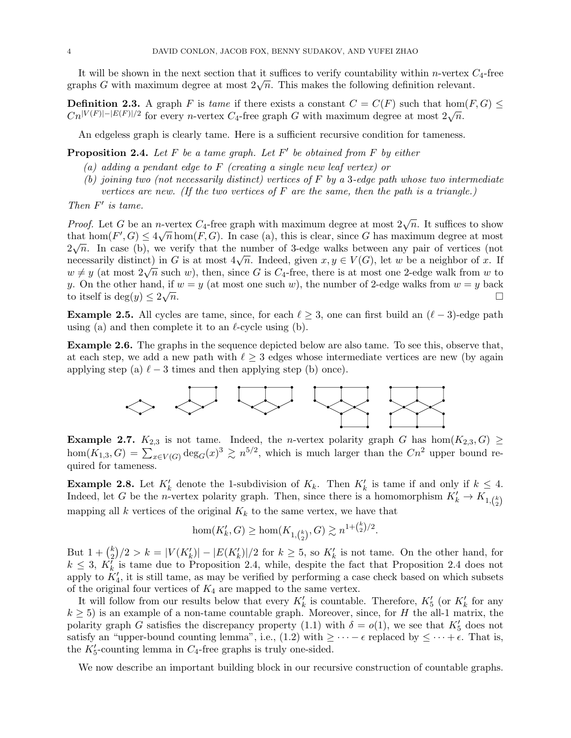It will be shown in the next section that it suffices to verify countability within *n*-vertex  $C_4$ -free It will be shown in the hext section that it suffices to verify countability within *n*-vertex degraphs G with maximum degree at most  $2\sqrt{n}$ . This makes the following definition relevant.

**Definition 2.3.** A graph F is tame if there exists a constant  $C = C(F)$  such that hom $(F, G) \le$ **Definition 2.3.** A graph T is tame if there exists a constant  $C = C(T)$  such that not<br>  $C_n^{|V(F)|-|E(F)|/2}$  for every n-vertex  $C_4$ -free graph G with maximum degree at most  $2\sqrt{n}$ .

An edgeless graph is clearly tame. Here is a sufficient recursive condition for tameness.

<span id="page-3-0"></span>**Proposition 2.4.** Let  $F$  be a tame graph. Let  $F'$  be obtained from  $F$  by either

- (a) adding a pendant edge to  $F$  (creating a single new leaf vertex) or
- (b) joining two (not necessarily distinct) vertices of  $F$  by a 3-edge path whose two intermediate vertices are new. (If the two vertices of  $F$  are the same, then the path is a triangle.)

Then  $F'$  is tame.

*Proof.* Let G be an n-vertex  $C_4$ -free graph with maximum degree at most  $2\sqrt{n}$ . It suffices to show that hom $(F', G) \leq 4\sqrt{n} \hom(F, G)$ . In case (a), this is clear, since G has maximum degree at most  $2\sqrt{n}$ . In case (b), we verify that the number of 3-edge walks between any pair of vertices (not  $2\sqrt{n}$ . In case (b), we verify that the humber of 3-edge walks between any pair of vertices (not necessarily distinct) in G is at most  $4\sqrt{n}$ . Indeed, given  $x, y \in V(G)$ , let w be a neighbor of x. If mecessarily distinct) in G is at most  $4\sqrt{n}$ . Indeed, given  $x, y \in V(G)$ , let w be a neighbor or x. In  $w \neq y$  (at most  $2\sqrt{n}$  such w), then, since G is  $C_4$ -free, there is at most one 2-edge walk from w to y. On the other hand, if  $w = y$  (at most one such w), the number of 2-edge walks from  $w = y$  back to itself is deg $(y) \leq 2\sqrt{n}$ .  $\overline{n}$ .

**Example 2.5.** All cycles are tame, since, for each  $\ell \geq 3$ , one can first build an  $(\ell - 3)$ -edge path using (a) and then complete it to an  $\ell$ -cycle using (b).

<span id="page-3-2"></span>Example 2.6. The graphs in the sequence depicted below are also tame. To see this, observe that, at each step, we add a new path with  $\ell \geq 3$  edges whose intermediate vertices are new (by again applying step (a)  $\ell - 3$  times and then applying step (b) once).



<span id="page-3-1"></span>Example 2.7.  $K_{2,3}$  is not tame. Indeed, the *n*-vertex polarity graph G has hom $(K_{2,3}, G) \ge$ hom $(K_{1,3}, G) = \sum_{x \in V(G)} \deg_G(x)^3 \gtrsim n^{5/2}$ , which is much larger than the  $Cn^2$  upper bound required for tameness.

<span id="page-3-3"></span>**Example 2.8.** Let  $K'_k$  denote the 1-subdivision of  $K_k$ . Then  $K'_k$  is tame if and only if  $k \leq 4$ . Indeed, let G be the *n*-vertex polarity graph. Then, since there is a homomorphism  $K'_k \to K_{1, {k \choose 2}}$ mapping all k vertices of the original  $K_k$  to the same vertex, we have that

$$
\hom(K'_k, G) \ge \hom(K_{1, {k \choose 2}}, G) \gtrsim n^{1 + {k \choose 2}/2}.
$$

But  $1 + {k \choose 2}$  $\binom{k}{2}/2 > k = |V(K_k')| - |E(K_k')|/2$  for  $k \geq 5$ , so  $K_k'$  is not tame. On the other hand, for  $k \leq 3$ ,  $K_k^{\tilde{I}}$  is tame due to Proposition [2.4,](#page-3-0) while, despite the fact that Proposition [2.4](#page-3-0) does not apply to  $K_4'$ , it is still tame, as may be verified by performing a case check based on which subsets of the original four vertices of  $K_4$  are mapped to the same vertex.

It will follow from our results below that every  $K'_{k}$  is countable. Therefore,  $K'_{5}$  (or  $K'_{k}$  for any  $k \geq 5$ ) is an example of a non-tame countable graph. Moreover, since, for H the all-1 matrix, the polarity graph G satisfies the discrepancy property [\(1.1\)](#page-1-2) with  $\delta = o(1)$ , we see that  $K'_{5}$  does not satisfy an "upper-bound counting lemma", i.e., [\(1.2\)](#page-1-3) with  $\geq \cdots - \epsilon$  replaced by  $\leq \cdots + \epsilon$ . That is, the  $K_5'$ -counting lemma in  $C_4$ -free graphs is truly one-sided.

We now describe an important building block in our recursive construction of countable graphs.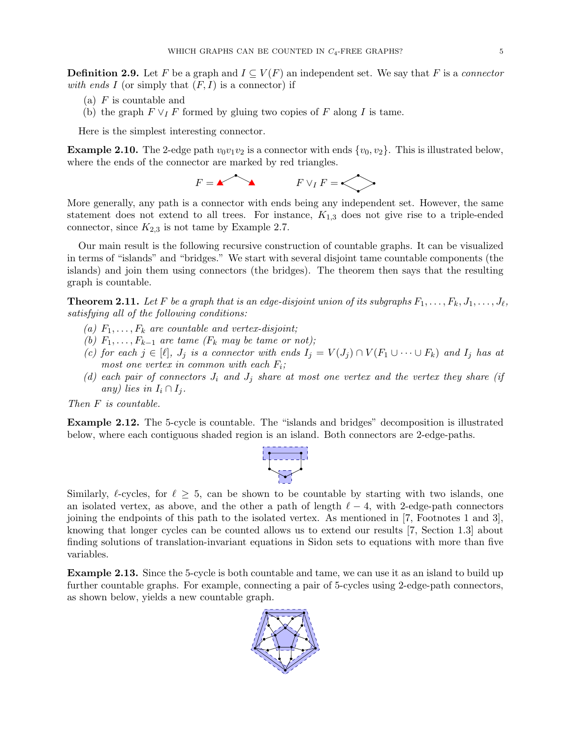**Definition 2.9.** Let F be a graph and  $I \subseteq V(F)$  an independent set. We say that F is a connector with ends I (or simply that  $(F, I)$  is a connector) if

- (a)  $F$  is countable and
- (b) the graph  $F \vee_I F$  formed by gluing two copies of F along I is tame.

Here is the simplest interesting connector.

**Example 2.10.** The 2-edge path  $v_0v_1v_2$  is a connector with ends  $\{v_0, v_2\}$ . This is illustrated below, where the ends of the connector are marked by red triangles.

 $F = \n\begin{matrix} \n\diagup \n\diagup \n\diagdown \n\end{matrix}$  F  $\vee_I F = \n\begin{matrix} \diagdown \n\diagdown \n\end{matrix}$ 

More generally, any path is a connector with ends being any independent set. However, the same statement does not extend to all trees. For instance,  $K_{1,3}$  does not give rise to a triple-ended connector, since  $K_{2,3}$  is not tame by Example [2.7.](#page-3-1)

Our main result is the following recursive construction of countable graphs. It can be visualized in terms of "islands" and "bridges." We start with several disjoint tame countable components (the islands) and join them using connectors (the bridges). The theorem then says that the resulting graph is countable.

<span id="page-4-0"></span>**Theorem 2.11.** Let F be a graph that is an edge-disjoint union of its subgraphs  $F_1, \ldots, F_k, J_1, \ldots, J_\ell$ , satisfying all of the following conditions:

- (a)  $F_1, \ldots, F_k$  are countable and vertex-disjoint;
- (b)  $F_1, \ldots, F_{k-1}$  are tame ( $F_k$  may be tame or not);
- (c) for each  $j \in [\ell], J_j$  is a connector with ends  $I_j = V(J_j) \cap V(F_1 \cup \cdots \cup F_k)$  and  $I_j$  has at most one vertex in common with each  $F_i$ ;
- (d) each pair of connectors  $J_i$  and  $J_j$  share at most one vertex and the vertex they share (if any) lies in  $I_i \cap I_j$ .

Then F is countable.

Example 2.12. The 5-cycle is countable. The "islands and bridges" decomposition is illustrated below, where each contiguous shaded region is an island. Both connectors are 2-edge-paths.



Similarly,  $\ell$ -cycles, for  $\ell \geq 5$ , can be shown to be countable by starting with two islands, one an isolated vertex, as above, and the other a path of length  $\ell - 4$ , with 2-edge-path connectors joining the endpoints of this path to the isolated vertex. As mentioned in [\[7,](#page-11-9) Footnotes 1 and 3], knowing that longer cycles can be counted allows us to extend our results [\[7,](#page-11-9) Section 1.3] about finding solutions of translation-invariant equations in Sidon sets to equations with more than five variables.

Example 2.13. Since the 5-cycle is both countable and tame, we can use it as an island to build up further countable graphs. For example, connecting a pair of 5-cycles using 2-edge-path connectors, as shown below, yields a new countable graph.

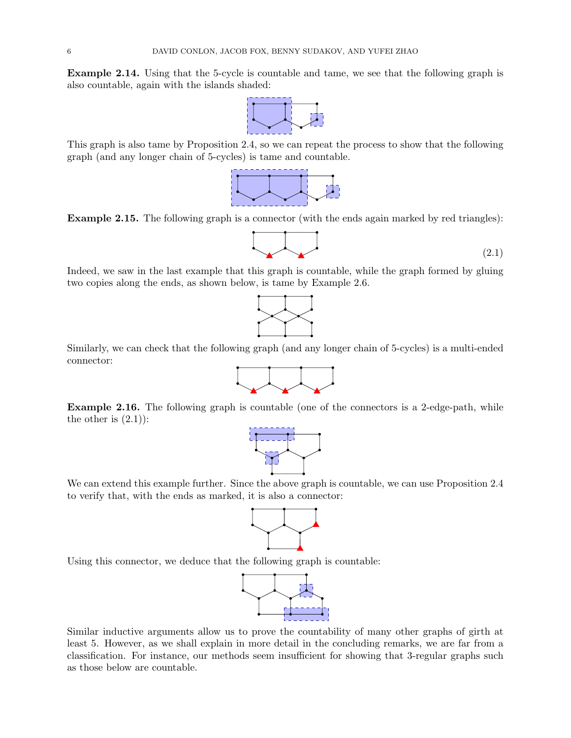Example 2.14. Using that the 5-cycle is countable and tame, we see that the following graph is also countable, again with the islands shaded:



This graph is also tame by Proposition [2.4,](#page-3-0) so we can repeat the process to show that the following graph (and any longer chain of 5-cycles) is tame and countable.



Example 2.15. The following graph is a connector (with the ends again marked by red triangles):

<span id="page-5-0"></span>
$$
\begin{array}{|c|c|c|}\n\hline\n\end{array}\n\tag{2.1}
$$

Indeed, we saw in the last example that this graph is countable, while the graph formed by gluing two copies along the ends, as shown below, is tame by Example [2.6.](#page-3-2)



Similarly, we can check that the following graph (and any longer chain of 5-cycles) is a multi-ended connector:



Example 2.16. The following graph is countable (one of the connectors is a 2-edge-path, while the other is  $(2.1)$ :



We can extend this example further. Since the above graph is countable, we can use Proposition [2.4](#page-3-0) to verify that, with the ends as marked, it is also a connector:



Using this connector, we deduce that the following graph is countable:



<span id="page-5-1"></span>Similar inductive arguments allow us to prove the countability of many other graphs of girth at least 5. However, as we shall explain in more detail in the concluding remarks, we are far from a classification. For instance, our methods seem insufficient for showing that 3-regular graphs such as those below are countable.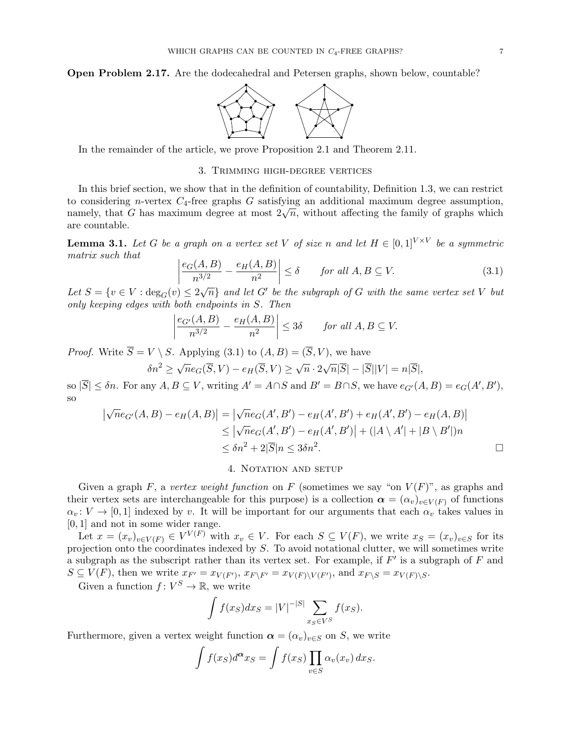Open Problem 2.17. Are the dodecahedral and Petersen graphs, shown below, countable?



In the remainder of the article, we prove Proposition [2.1](#page-2-1) and Theorem [2.11.](#page-4-0)

## 3. Trimming high-degree vertices

In this brief section, we show that in the definition of countability, Definition [1.3,](#page-1-0) we can restrict to considering n-vertex  $C_4$ -free graphs G satisfying an additional maximum degree assumption, to considering *n*-vertex  $C_4$ -iree graphs G satisfying an additional maximum degree assumption, namely, that G has maximum degree at most  $2\sqrt{n}$ , without affecting the family of graphs which are countable.

**Lemma 3.1.** Let G be a graph on a vertex set V of size n and let  $H \in [0,1]^{V \times V}$  be a symmetric matrix such that

<span id="page-6-0"></span>
$$
\left| \frac{e_G(A, B)}{n^{3/2}} - \frac{e_H(A, B)}{n^2} \right| \le \delta \qquad \text{for all } A, B \subseteq V. \tag{3.1}
$$

Let  $S = \{v \in V : \deg_G(v) \leq 2\sqrt{n}\}\$ and let G' be the subgraph of G with the same vertex set V but only keeping edges with both endpoints in S. Then

$$
\left|\frac{e_{G'}(A,B)}{n^{3/2}} - \frac{e_H(A,B)}{n^2}\right| \le 3\delta \quad \text{for all } A, B \subseteq V.
$$

*Proof.* Write  $\overline{S} = V \setminus S$ . Applying [\(3.1\)](#page-6-0) to  $(A, B) = (\overline{S}, V)$ , we have

$$
\delta n^2 \ge \sqrt{n} e_G(\overline{S}, V) - e_H(\overline{S}, V) \ge \sqrt{n} \cdot 2\sqrt{n} |\overline{S}| - |\overline{S}| |V| = n|\overline{S}|,
$$

so  $|\overline{S}| \leq \delta n$ . For any  $A, B \subseteq V$ , writing  $A' = A \cap S$  and  $B' = B \cap S$ , we have  $e_{G'}(A, B) = e_G(A', B')$ , so

$$
\begin{aligned} \left| \sqrt{n} e_{G'}(A,B) - e_H(A,B) \right| &= \left| \sqrt{n} e_G(A',B') - e_H(A',B') + e_H(A',B') - e_H(A,B) \right| \\ &\le \left| \sqrt{n} e_G(A',B') - e_H(A',B') \right| + \left( |A \setminus A'| + |B \setminus B'| \right) n \\ &\le \delta n^2 + 2|\overline{S}|n \le 3\delta n^2. \end{aligned}
$$

## 4. NOTATION AND SETUP

Given a graph F, a vertex weight function on F (sometimes we say "on  $V(F)$ ", as graphs and their vertex sets are interchangeable for this purpose) is a collection  $\alpha = (\alpha_v)_{v \in V(F)}$  of functions  $\alpha_v: V \to [0, 1]$  indexed by v. It will be important for our arguments that each  $\alpha_v$  takes values in [0, 1] and not in some wider range.

Let  $x = (x_v)_{v \in V(F)} \in V^{V(F)}$  with  $x_v \in V$ . For each  $S \subseteq V(F)$ , we write  $x_S = (x_v)_{v \in S}$  for its projection onto the coordinates indexed by  $S$ . To avoid notational clutter, we will sometimes write a subgraph as the subscript rather than its vertex set. For example, if  $F'$  is a subgraph of  $F$  and  $S \subseteq V(F)$ , then we write  $x_{F'} = x_{V(F')}$ ,  $x_{F\setminus F'} = x_{V(F)\setminus V(F')}$ , and  $x_{F\setminus S} = x_{V(F)\setminus S}$ .

Given a function  $f: V^S \to \mathbb{R}$ , we write

$$
\int f(x_S)dx_S = |V|^{-|S|} \sum_{x_S \in V^S} f(x_S).
$$

Furthermore, given a vertex weight function  $\alpha = (\alpha_v)_{v \in S}$  on S, we write

$$
\int f(x_S) d^{\alpha} x_S = \int f(x_S) \prod_{v \in S} \alpha_v(x_v) dx_S.
$$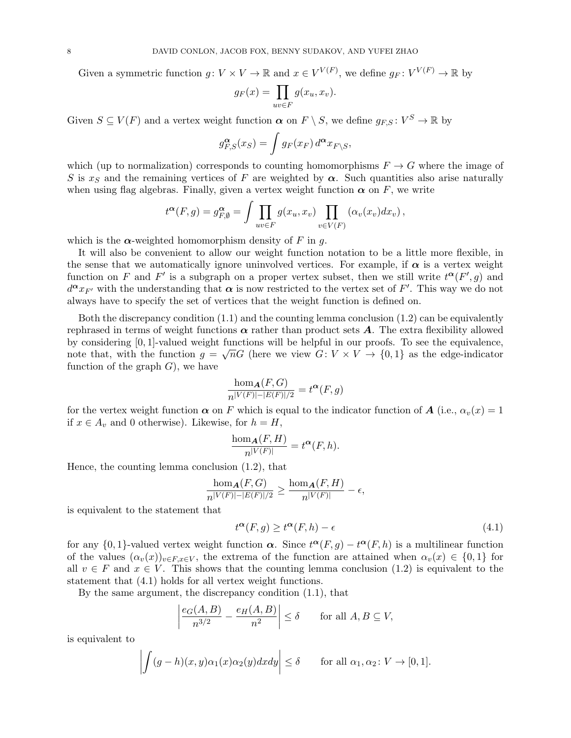Given a symmetric function  $g: V \times V \to \mathbb{R}$  and  $x \in V^{V(F)}$ , we define  $g_F: V^{V(F)} \to \mathbb{R}$  by

$$
g_F(x) = \prod_{uv \in F} g(x_u, x_v).
$$

Given  $S \subseteq V(F)$  and a vertex weight function  $\alpha$  on  $F \setminus S$ , we define  $g_{F,S} : V^S \to \mathbb{R}$  by

$$
g_{F,S}^{\alpha}(x_S) = \int g_F(x_F) d^{\alpha} x_{F\setminus S},
$$

which (up to normalization) corresponds to counting homomorphisms  $F \to G$  where the image of S is  $x<sub>S</sub>$  and the remaining vertices of F are weighted by  $\alpha$ . Such quantities also arise naturally when using flag algebras. Finally, given a vertex weight function  $\alpha$  on F, we write

$$
t^{\alpha}(F,g) = g_{F,\emptyset}^{\alpha} = \int \prod_{uv \in F} g(x_u, x_v) \prod_{v \in V(F)} (\alpha_v(x_v) dx_v),
$$

which is the  $\alpha$ -weighted homomorphism density of F in q.

It will also be convenient to allow our weight function notation to be a little more flexible, in the sense that we automatically ignore uninvolved vertices. For example, if  $\alpha$  is a vertex weight function on F and F' is a subgraph on a proper vertex subset, then we still write  $t^{\alpha}(F', g)$  and  $d^{\boldsymbol{\alpha}} x_{F'}$  with the understanding that  $\boldsymbol{\alpha}$  is now restricted to the vertex set of F'. This way we do not always have to specify the set of vertices that the weight function is defined on.

Both the discrepancy condition  $(1.1)$  and the counting lemma conclusion  $(1.2)$  can be equivalently rephrased in terms of weight functions  $\alpha$  rather than product sets  $A$ . The extra flexibility allowed by considering [0, 1]-valued weight functions will be helpful in our proofs. To see the equivalence, note that, with the function  $g = \sqrt{n}G$  (here we view  $G: V \times V \rightarrow \{0,1\}$  as the edge-indicator function of the graph  $G$ , we have

$$
\frac{\hom_{\mathbf{A}}(F,G)}{n^{|V(F)|-|E(F)|/2}} = t^{\alpha}(F,g)
$$

for the vertex weight function  $\alpha$  on F which is equal to the indicator function of A (i.e.,  $\alpha_v(x) = 1$ ) if  $x \in A_v$  and 0 otherwise). Likewise, for  $h = H$ ,

$$
\frac{\hom_{\mathbf{A}}(F,H)}{n^{|V(F)|}} = t^{\alpha}(F,h).
$$

Hence, the counting lemma conclusion [\(1.2\)](#page-1-3), that

$$
\frac{\hom_{\boldsymbol{A}}(F,G)}{n^{|V(F)|-|E(F)|/2}} \ge \frac{\hom_{\boldsymbol{A}}(F,H)}{n^{|V(F)|}} - \epsilon,
$$

is equivalent to the statement that

<span id="page-7-0"></span>
$$
t^{\alpha}(F,g) \ge t^{\alpha}(F,h) - \epsilon \tag{4.1}
$$

for any  $\{0,1\}$ -valued vertex weight function  $\alpha$ . Since  $t^{\alpha}(F,g) - t^{\alpha}(F,h)$  is a multilinear function of the values  $(\alpha_v(x))_{v\in F,x\in V}$ , the extrema of the function are attained when  $\alpha_v(x) \in \{0,1\}$  for all  $v \in F$  and  $x \in V$ . This shows that the counting lemma conclusion [\(1.2\)](#page-1-3) is equivalent to the statement that [\(4.1\)](#page-7-0) holds for all vertex weight functions.

By the same argument, the discrepancy condition [\(1.1\)](#page-1-2), that

$$
\left|\frac{e_G(A,B)}{n^{3/2}} - \frac{e_H(A,B)}{n^2}\right| \le \delta \quad \text{for all } A, B \subseteq V,
$$

is equivalent to

$$
\left| \int (g-h)(x,y)\alpha_1(x)\alpha_2(y)dxdy \right| \le \delta \quad \text{for all } \alpha_1, \alpha_2 \colon V \to [0,1].
$$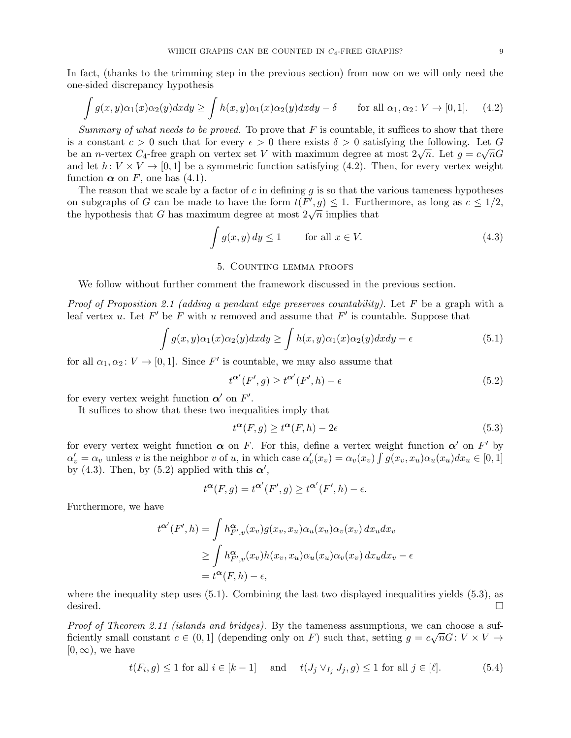In fact, (thanks to the trimming step in the previous section) from now on we will only need the one-sided discrepancy hypothesis

<span id="page-8-1"></span>
$$
\int g(x,y)\alpha_1(x)\alpha_2(y)dxdy \ge \int h(x,y)\alpha_1(x)\alpha_2(y)dxdy - \delta \quad \text{for all } \alpha_1, \alpha_2 \colon V \to [0,1]. \tag{4.2}
$$

Summary of what needs to be proved. To prove that  $F$  is countable, it suffices to show that there is a constant  $c > 0$  such that for every  $\epsilon > 0$  there exists  $\delta > 0$  satisfying the following. Let G be an *n*-vertex  $C_4$ -free graph on vertex set V with maximum degree at most  $2\sqrt{n}$ . Let  $g = c\sqrt{n}G$ and let  $h: V \times V \rightarrow [0, 1]$  be a symmetric function satisfying [\(4.2\)](#page-8-1). Then, for every vertex weight function  $\alpha$  on F, one has [\(4.1\)](#page-7-0).

The reason that we scale by a factor of c in defining q is so that the various tameness hypotheses on subgraphs of G can be made to have the form  $t(F', g) \leq 1$ . Furthermore, as long as  $c \leq 1/2$ , on subgraphs of G can be made to have the form  $\iota(r, g) \leq 1$ . Further the hypothesis that G has maximum degree at most  $2\sqrt{n}$  implies that

<span id="page-8-2"></span>
$$
\int g(x, y) dy \le 1 \qquad \text{for all } x \in V. \tag{4.3}
$$

# 5. Counting lemma proofs

<span id="page-8-0"></span>We follow without further comment the framework discussed in the previous section.

*Proof of Proposition [2.1](#page-2-1) (adding a pendant edge preserves countability).* Let F be a graph with a leaf vertex u. Let  $F'$  be F with u removed and assume that  $F'$  is countable. Suppose that

<span id="page-8-4"></span>
$$
\int g(x,y)\alpha_1(x)\alpha_2(y)dxdy \ge \int h(x,y)\alpha_1(x)\alpha_2(y)dxdy - \epsilon \tag{5.1}
$$

for all  $\alpha_1, \alpha_2 \colon V \to [0, 1]$ . Since F' is countable, we may also assume that

<span id="page-8-3"></span>
$$
t^{\alpha'}(F',g) \ge t^{\alpha'}(F',h) - \epsilon
$$
\n(5.2)

for every vertex weight function  $\alpha'$  on  $F'$ .

It suffices to show that these two inequalities imply that

<span id="page-8-5"></span>
$$
t^{\alpha}(F,g) \ge t^{\alpha}(F,h) - 2\epsilon \tag{5.3}
$$

for every vertex weight function  $\alpha$  on F. For this, define a vertex weight function  $\alpha'$  on F' by  $\alpha'_v = \alpha_v$  unless v is the neighbor v of u, in which case  $\alpha'_v(x_v) = \alpha_v(x_v) \int g(x_v, x_u) \alpha_u(x_u) dx_u \in [0, 1]$ by [\(4.3\)](#page-8-2). Then, by [\(5.2\)](#page-8-3) applied with this  $\alpha'$ ,

$$
t^{\alpha}(F,g) = t^{\alpha'}(F',g) \ge t^{\alpha'}(F',h) - \epsilon.
$$

Furthermore, we have

$$
t^{\alpha'}(F',h) = \int h_{F',v}^{\alpha}(x_v)g(x_v, x_u)\alpha_u(x_u)\alpha_v(x_v) dx_u dx_v
$$
  
\n
$$
\geq \int h_{F',v}^{\alpha}(x_v)h(x_v, x_u)\alpha_u(x_u)\alpha_v(x_v) dx_u dx_v - \epsilon
$$
  
\n
$$
= t^{\alpha}(F,h) - \epsilon,
$$

where the inequality step uses  $(5.1)$ . Combining the last two displayed inequalities yields  $(5.3)$ , as desired.

*Proof of Theorem [2.11](#page-4-0) (islands and bridges)*. By the tameness assumptions, we can choose a sufficiently small constant  $c \in (0,1]$  (depending only on F) such that, setting  $g = c\sqrt{n}G: V \times V \rightarrow$  $[0, \infty)$ , we have

<span id="page-8-6"></span>
$$
t(F_i, g) \le 1 \text{ for all } i \in [k-1] \quad \text{ and } \quad t(J_j \vee_{I_j} J_j, g) \le 1 \text{ for all } j \in [\ell]. \tag{5.4}
$$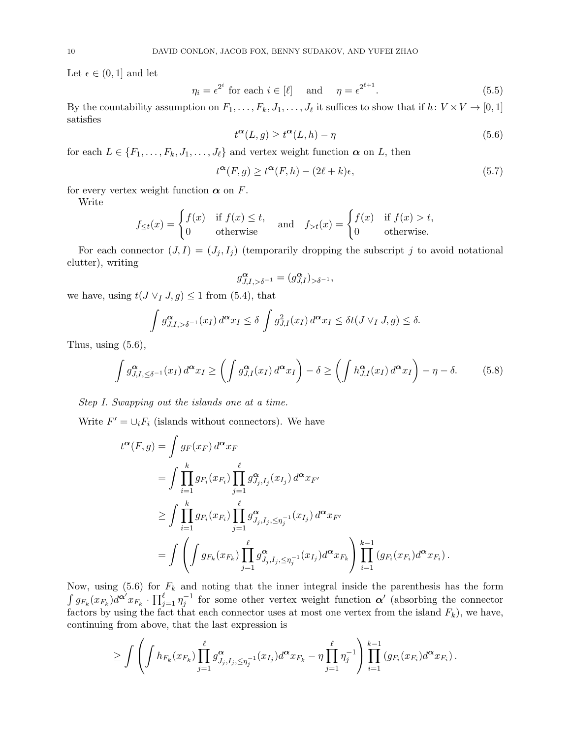Let  $\epsilon \in (0,1]$  and let

<span id="page-9-1"></span>
$$
\eta_i = \epsilon^{2^i} \text{ for each } i \in [\ell] \quad \text{ and } \quad \eta = \epsilon^{2^{\ell+1}}. \tag{5.5}
$$

By the countability assumption on  $F_1, \ldots, F_k, J_1, \ldots, J_\ell$  it suffices to show that if  $h: V \times V \to [0, 1]$ satisfies

<span id="page-9-0"></span>
$$
t^{\alpha}(L,g) \ge t^{\alpha}(L,h) - \eta \tag{5.6}
$$

for each  $L \in \{F_1, \ldots, F_k, J_1, \ldots, J_\ell\}$  and vertex weight function  $\alpha$  on L, then

<span id="page-9-3"></span>
$$
t^{\alpha}(F,g) \ge t^{\alpha}(F,h) - (2\ell + k)\epsilon,
$$
\n(5.7)

for every vertex weight function  $\alpha$  on F.

Write

$$
f_{\leq t}(x) = \begin{cases} f(x) & \text{if } f(x) \leq t, \\ 0 & \text{otherwise} \end{cases} \quad \text{and} \quad f_{>t}(x) = \begin{cases} f(x) & \text{if } f(x) > t, \\ 0 & \text{otherwise.} \end{cases}
$$

For each connector  $(J, I) = (J_j, I_j)$  (temporarily dropping the subscript j to avoid notational clutter), writing

$$
g_{J,I,>\delta^{-1}}^{\pmb{\alpha}}=(g_{J,I}^{\pmb{\alpha}})_{>\delta^{-1}},
$$

we have, using  $t(J \vee I, g) \leq 1$  from [\(5.4\)](#page-8-6), that

$$
\int g_{J,I,>\delta^{-1}}^{\alpha}(x_I) d^{\alpha} x_I \le \delta \int g_{J,I}^2(x_I) d^{\alpha} x_I \le \delta t(J \vee_I J, g) \le \delta.
$$

Thus, using  $(5.6)$ ,

<span id="page-9-2"></span>
$$
\int g_{J,I,\leq \delta^{-1}}^{\alpha}(x_I) d^{\alpha} x_I \geq \left( \int g_{J,I}^{\alpha}(x_I) d^{\alpha} x_I \right) - \delta \geq \left( \int h_{J,I}^{\alpha}(x_I) d^{\alpha} x_I \right) - \eta - \delta. \tag{5.8}
$$

Step I. Swapping out the islands one at a time.

Write  $F' = \bigcup_i F_i$  (islands without connectors). We have

$$
t^{\alpha}(F,g) = \int g_F(x_F) d^{\alpha} x_F
$$
  
= 
$$
\int \prod_{i=1}^k g_{F_i}(x_{F_i}) \prod_{j=1}^{\ell} g_{J_j, I_j}^{\alpha}(x_{I_j}) d^{\alpha} x_{F'}
$$
  

$$
\geq \int \prod_{i=1}^k g_{F_i}(x_{F_i}) \prod_{j=1}^{\ell} g_{J_j, I_j, \leq \eta_j^{-1}}^{\alpha}(x_{I_j}) d^{\alpha} x_{F'}
$$
  
= 
$$
\int \left( \int g_{F_k}(x_{F_k}) \prod_{j=1}^{\ell} g_{J_j, I_j, \leq \eta_j^{-1}}^{\alpha}(x_{I_j}) d^{\alpha} x_{F_k} \right) \prod_{i=1}^{k-1} (g_{F_i}(x_{F_i}) d^{\alpha} x_{F_i}).
$$

Now, using [\(5.6\)](#page-9-0) for  $F_k$  and noting that the inner integral inside the parenthesis has the form  $\int g_{F_k}(x_{F_k}) d^{\bm{\alpha}'} x_{F_k} \cdot \prod_{j=1}^{\ell} \eta_j^{-1}$  for some other vertex weight function  $\bm{\alpha}'$  (absorbing the connector factors by using the fact that each connector uses at most one vertex from the island  $F_k$ ), we have, continuing from above, that the last expression is

$$
\geq \int \left( \int h_{F_k}(x_{F_k}) \prod_{j=1}^{\ell} g_{J_j, I_j, \leq \eta_j^{-1}}^{\alpha}(x_{I_j}) d^{\alpha} x_{F_k} - \eta \prod_{j=1}^{\ell} \eta_j^{-1} \right) \prod_{i=1}^{k-1} (g_{F_i}(x_{F_i}) d^{\alpha} x_{F_i}).
$$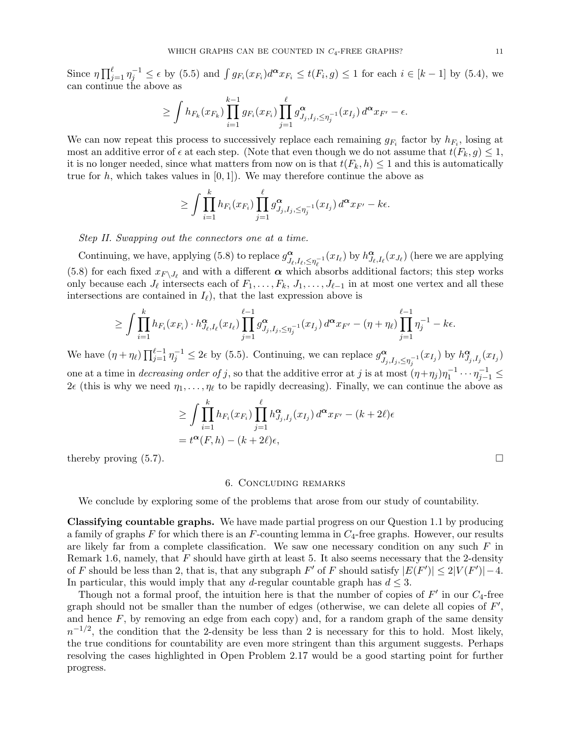Since  $\eta \prod_{j=1}^{\ell} \eta_j^{-1} \leq \epsilon$  by [\(5.5\)](#page-9-1) and  $\int g_{F_i}(x_{F_i}) d^{\alpha} x_{F_i} \leq t(F_i, g) \leq 1$  for each  $i \in [k-1]$  by [\(5.4\)](#page-8-6), we can continue the above as

$$
\geq \int h_{F_k}(x_{F_k}) \prod_{i=1}^{k-1} g_{F_i}(x_{F_i}) \prod_{j=1}^{\ell} g_{J_j, I_j, \leq \eta_j^{-1}}^{\alpha}(x_{I_j}) d^{\alpha} x_{F'} - \epsilon.
$$

We can now repeat this process to successively replace each remaining  $g_{F_i}$  factor by  $h_{F_i}$ , losing at most an additive error of  $\epsilon$  at each step. (Note that even though we do not assume that  $t(F_k, g) \leq 1$ , it is no longer needed, since what matters from now on is that  $t(F_k, h) \leq 1$  and this is automatically true for h, which takes values in  $[0, 1]$ . We may therefore continue the above as

$$
\geq \int \prod_{i=1}^k h_{F_i}(x_{F_i}) \prod_{j=1}^\ell g_{J_j,I_j,\leq \eta_j^{-1}}^\alpha(x_{I_j}) d^\alpha x_{F'}-k\epsilon.
$$

Step II. Swapping out the connectors one at a time.

Continuing, we have, applying [\(5.8\)](#page-9-2) to replace  $g_{\tau}^{\alpha}$  $\frac{\alpha}{J_{\ell},I_{\ell},\leq \eta_{\ell}^{-1}}(x_{I_{\ell}})$  by  $h^{\alpha}_{J_{\ell},I_{\ell}}(x_{J_{\ell}})$  (here we are applying [\(5.8\)](#page-9-2) for each fixed  $x_{F\setminus J_\ell}$  and with a different  $\alpha$  which absorbs additional factors; this step works only because each  $J_{\ell}$  intersects each of  $F_1, \ldots, F_k, J_1, \ldots, J_{\ell-1}$  in at most one vertex and all these intersections are contained in  $I_{\ell}$ ), that the last expression above is

$$
\geq \int \prod_{i=1}^k h_{F_i}(x_{F_i}) \cdot h_{J_{\ell},I_{\ell}}^{\alpha}(x_{I_{\ell}}) \prod_{j=1}^{\ell-1} g_{J_j,I_j,\leq \eta_j^{-1}}^{\alpha}(x_{I_j}) d^{\alpha} x_{F'} - (\eta + \eta_{\ell}) \prod_{j=1}^{\ell-1} \eta_j^{-1} - k\epsilon.
$$

We have  $(\eta + \eta_\ell) \prod_{j=1}^{\ell-1} \eta_j^{-1} \leq 2\epsilon$  by [\(5.5\)](#page-9-1). Continuing, we can replace  $g_{\overline{L}}^{\alpha}$  $\sum_{j,j,I_j,\leq \eta_j^{-1}}^{\alpha} (x_{I_j})$  by  $h^{\alpha}_{J_j,I_j}(x_{I_j})$ one at a time in *decreasing order of j*, so that the additive error at *j* is at most  $(\eta + \eta_j)\eta_1^{-1} \cdots \eta_{j-1}^{-1} \le$  $2\epsilon$  (this is why we need  $\eta_1, \ldots, \eta_\ell$  to be rapidly decreasing). Finally, we can continue the above as

$$
\geq \int \prod_{i=1}^k h_{F_i}(x_{F_i}) \prod_{j=1}^\ell h_{J_j, I_j}^{\alpha}(x_{I_j}) d^{\alpha} x_{F'} - (k+2\ell)\epsilon
$$
  
=  $t^{\alpha}(F, h) - (k+2\ell)\epsilon$ ,

thereby proving  $(5.7)$ .

#### 6. Concluding remarks

We conclude by exploring some of the problems that arose from our study of countability.

Classifying countable graphs. We have made partial progress on our Question [1.1](#page-1-4) by producing a family of graphs  $F$  for which there is an  $F$ -counting lemma in  $C_4$ -free graphs. However, our results are likely far from a complete classification. We saw one necessary condition on any such  $F$  in Remark [1.6,](#page-2-2) namely, that  $F$  should have girth at least 5. It also seems necessary that the 2-density of F should be less than 2, that is, that any subgraph F' of F should satisfy  $|E(F')| \leq 2|V(F')|-4$ . In particular, this would imply that any d-regular countable graph has  $d \leq 3$ .

Though not a formal proof, the intuition here is that the number of copies of  $F'$  in our  $C_4$ -free graph should not be smaller than the number of edges (otherwise, we can delete all copies of  $F'$ , and hence  $F$ , by removing an edge from each copy) and, for a random graph of the same density  $n^{-1/2}$ , the condition that the 2-density be less than 2 is necessary for this to hold. Most likely, the true conditions for countability are even more stringent than this argument suggests. Perhaps resolving the cases highlighted in Open Problem [2.17](#page-5-1) would be a good starting point for further progress.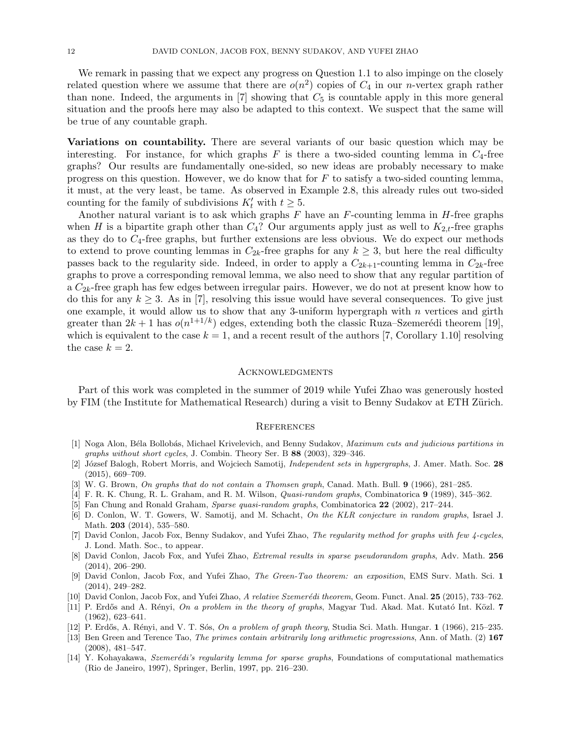We remark in passing that we expect any progress on Question [1.1](#page-1-4) to also impinge on the closely related question where we assume that there are  $o(n^2)$  copies of  $C_4$  in our *n*-vertex graph rather than none. Indeed, the arguments in  $[7]$  showing that  $C_5$  is countable apply in this more general situation and the proofs here may also be adapted to this context. We suspect that the same will be true of any countable graph.

Variations on countability. There are several variants of our basic question which may be interesting. For instance, for which graphs  $F$  is there a two-sided counting lemma in  $C_4$ -free graphs? Our results are fundamentally one-sided, so new ideas are probably necessary to make progress on this question. However, we do know that for  $F$  to satisfy a two-sided counting lemma, it must, at the very least, be tame. As observed in Example [2.8,](#page-3-3) this already rules out two-sided counting for the family of subdivisions  $K'_t$  with  $t \geq 5$ .

Another natural variant is to ask which graphs  $F$  have an  $F$ -counting lemma in  $H$ -free graphs when H is a bipartite graph other than  $C_4$ ? Our arguments apply just as well to  $K_{2,t}$ -free graphs as they do to  $C_4$ -free graphs, but further extensions are less obvious. We do expect our methods to extend to prove counting lemmas in  $C_{2k}$ -free graphs for any  $k \geq 3$ , but here the real difficulty passes back to the regularity side. Indeed, in order to apply a  $C_{2k+1}$ -counting lemma in  $C_{2k}$ -free graphs to prove a corresponding removal lemma, we also need to show that any regular partition of a  $C_{2k}$ -free graph has few edges between irregular pairs. However, we do not at present know how to do this for any  $k \geq 3$ . As in [\[7\]](#page-11-9), resolving this issue would have several consequences. To give just one example, it would allow us to show that any 3-uniform hypergraph with  $n$  vertices and girth greater than  $2k+1$  has  $o(n^{1+1/k})$  edges, extending both the classic Ruza–Szemerédi theorem [\[19\]](#page-12-8), which is equivalent to the case  $k = 1$ , and a recent result of the authors [\[7,](#page-11-9) Corollary 1.10] resolving the case  $k = 2$ .

## **ACKNOWLEDGMENTS**

Part of this work was completed in the summer of 2019 while Yufei Zhao was generously hosted by FIM (the Institute for Mathematical Research) during a visit to Benny Sudakov at ETH Zürich.

### **REFERENCES**

- <span id="page-11-13"></span>[1] Noga Alon, Béla Bollobás, Michael Krivelevich, and Benny Sudakov, Maximum cuts and judicious partitions in graphs without short cycles, J. Combin. Theory Ser. B 88 (2003), 329–346.
- <span id="page-11-4"></span>[2] József Balogh, Robert Morris, and Wojciech Samotij, *Independent sets in hypergraphs*, J. Amer. Math. Soc. 28 (2015), 669–709.
- <span id="page-11-10"></span>[3] W. G. Brown, On graphs that do not contain a Thomsen graph, Canad. Math. Bull. 9 (1966), 281–285.
- <span id="page-11-1"></span>[4] F. R. K. Chung, R. L. Graham, and R. M. Wilson, Quasi-random graphs, Combinatorica 9 (1989), 345–362.
- <span id="page-11-2"></span>[5] Fan Chung and Ronald Graham, Sparse quasi-random graphs, Combinatorica 22 (2002), 217–244.
- <span id="page-11-3"></span>[6] D. Conlon, W. T. Gowers, W. Samotij, and M. Schacht, On the KLR conjecture in random graphs, Israel J. Math. **203** (2014), 535–580.
- <span id="page-11-9"></span>[7] David Conlon, Jacob Fox, Benny Sudakov, and Yufei Zhao, The regularity method for graphs with few 4-cycles, J. Lond. Math. Soc., to appear.
- <span id="page-11-5"></span>[8] David Conlon, Jacob Fox, and Yufei Zhao, *Extremal results in sparse pseudorandom graphs*, Adv. Math. 256 (2014), 206–290.
- <span id="page-11-8"></span>[9] David Conlon, Jacob Fox, and Yufei Zhao, The Green-Tao theorem: an exposition, EMS Surv. Math. Sci. 1 (2014), 249–282.
- <span id="page-11-6"></span>[10] David Conlon, Jacob Fox, and Yufei Zhao, A relative Szemerédi theorem, Geom. Funct. Anal. 25 (2015), 733–762.
- <span id="page-11-11"></span>[11] P. Erdős and A. Rényi, On a problem in the theory of graphs, Magyar Tud. Akad. Mat. Kutató Int. Közl. 7 (1962), 623–641.
- <span id="page-11-12"></span>[12] P. Erdős, A. Rényi, and V. T. Sós, On a problem of graph theory, Studia Sci. Math. Hungar. 1 (1966), 215–235.
- <span id="page-11-7"></span>[13] Ben Green and Terence Tao, The primes contain arbitrarily long arithmetic progressions, Ann. of Math. (2) 167 (2008), 481–547.
- <span id="page-11-0"></span>[14] Y. Kohayakawa, Szemerédi's regularity lemma for sparse graphs, Foundations of computational mathematics (Rio de Janeiro, 1997), Springer, Berlin, 1997, pp. 216–230.